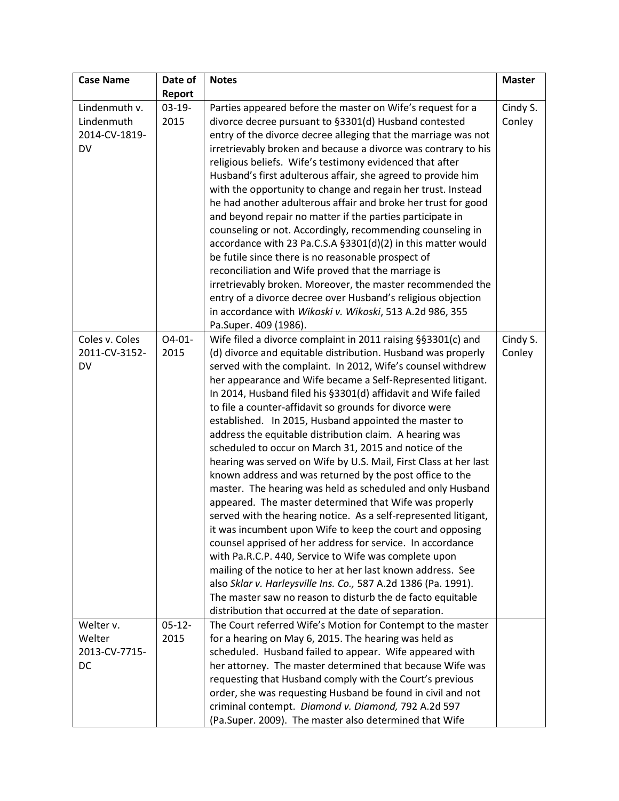| <b>Case Name</b> | Date of  | <b>Notes</b>                                                     | <b>Master</b> |
|------------------|----------|------------------------------------------------------------------|---------------|
|                  | Report   |                                                                  |               |
| Lindenmuth v.    | $03-19-$ | Parties appeared before the master on Wife's request for a       | Cindy S.      |
| Lindenmuth       | 2015     | divorce decree pursuant to §3301(d) Husband contested            | Conley        |
| 2014-CV-1819-    |          | entry of the divorce decree alleging that the marriage was not   |               |
| DV               |          | irretrievably broken and because a divorce was contrary to his   |               |
|                  |          | religious beliefs. Wife's testimony evidenced that after         |               |
|                  |          | Husband's first adulterous affair, she agreed to provide him     |               |
|                  |          | with the opportunity to change and regain her trust. Instead     |               |
|                  |          | he had another adulterous affair and broke her trust for good    |               |
|                  |          | and beyond repair no matter if the parties participate in        |               |
|                  |          | counseling or not. Accordingly, recommending counseling in       |               |
|                  |          | accordance with 23 Pa.C.S.A §3301(d)(2) in this matter would     |               |
|                  |          | be futile since there is no reasonable prospect of               |               |
|                  |          | reconciliation and Wife proved that the marriage is              |               |
|                  |          | irretrievably broken. Moreover, the master recommended the       |               |
|                  |          | entry of a divorce decree over Husband's religious objection     |               |
|                  |          | in accordance with Wikoski v. Wikoski, 513 A.2d 986, 355         |               |
|                  |          | Pa.Super. 409 (1986).                                            |               |
| Coles v. Coles   | $04-01-$ | Wife filed a divorce complaint in 2011 raising §§3301(c) and     | Cindy S.      |
| 2011-CV-3152-    | 2015     | (d) divorce and equitable distribution. Husband was properly     | Conley        |
| DV               |          | served with the complaint. In 2012, Wife's counsel withdrew      |               |
|                  |          | her appearance and Wife became a Self-Represented litigant.      |               |
|                  |          | In 2014, Husband filed his §3301(d) affidavit and Wife failed    |               |
|                  |          | to file a counter-affidavit so grounds for divorce were          |               |
|                  |          | established. In 2015, Husband appointed the master to            |               |
|                  |          | address the equitable distribution claim. A hearing was          |               |
|                  |          | scheduled to occur on March 31, 2015 and notice of the           |               |
|                  |          | hearing was served on Wife by U.S. Mail, First Class at her last |               |
|                  |          | known address and was returned by the post office to the         |               |
|                  |          | master. The hearing was held as scheduled and only Husband       |               |
|                  |          | appeared. The master determined that Wife was properly           |               |
|                  |          | served with the hearing notice. As a self-represented litigant,  |               |
|                  |          | it was incumbent upon Wife to keep the court and opposing        |               |
|                  |          | counsel apprised of her address for service. In accordance       |               |
|                  |          | with Pa.R.C.P. 440, Service to Wife was complete upon            |               |
|                  |          | mailing of the notice to her at her last known address. See      |               |
|                  |          | also Sklar v. Harleysville Ins. Co., 587 A.2d 1386 (Pa. 1991).   |               |
|                  |          | The master saw no reason to disturb the de facto equitable       |               |
|                  |          | distribution that occurred at the date of separation.            |               |
| Welter v.        | $05-12-$ | The Court referred Wife's Motion for Contempt to the master      |               |
| Welter           | 2015     | for a hearing on May 6, 2015. The hearing was held as            |               |
| 2013-CV-7715-    |          | scheduled. Husband failed to appear. Wife appeared with          |               |
| DC               |          | her attorney. The master determined that because Wife was        |               |
|                  |          | requesting that Husband comply with the Court's previous         |               |
|                  |          | order, she was requesting Husband be found in civil and not      |               |
|                  |          | criminal contempt. Diamond v. Diamond, 792 A.2d 597              |               |
|                  |          | (Pa.Super. 2009). The master also determined that Wife           |               |